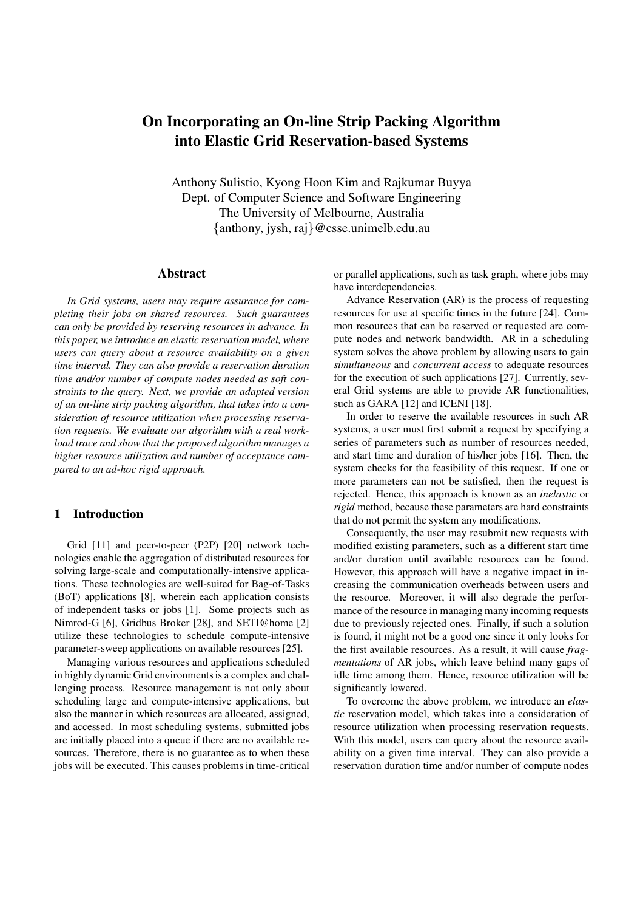# **On Incorporating an On-line Strip Packing Algorithm into Elastic Grid Reservation-based Systems**

Anthony Sulistio, Kyong Hoon Kim and Rajkumar Buyya Dept. of Computer Science and Software Engineering The University of Melbourne, Australia {anthony, jysh, raj}@csse.unimelb.edu.au

#### **Abstract**

*In Grid systems, users may require assurance for completing their jobs on shared resources. Such guarantees can only be provided by reserving resources in advance. In this paper, we introduce an elastic reservation model, where users can query about a resource availability on a given time interval. They can also provide a reservation duration time and/or number of compute nodes needed as soft constraints to the query. Next, we provide an adapted version of an on-line strip packing algorithm, that takes into a consideration of resource utilization when processing reservation requests. We evaluate our algorithm with a real workload trace and show that the proposed algorithm manages a higher resource utilization and number of acceptance compared to an ad-hoc rigid approach.*

# **1 Introduction**

Grid [11] and peer-to-peer (P2P) [20] network technologies enable the aggregation of distributed resources for solving large-scale and computationally-intensive applications. These technologies are well-suited for Bag-of-Tasks (BoT) applications [8], wherein each application consists of independent tasks or jobs [1]. Some projects such as Nimrod-G [6], Gridbus Broker [28], and SETI@home [2] utilize these technologies to schedule compute-intensive parameter-sweep applications on available resources [25].

Managing various resources and applications scheduled in highly dynamic Grid environments is a complex and challenging process. Resource management is not only about scheduling large and compute-intensive applications, but also the manner in which resources are allocated, assigned, and accessed. In most scheduling systems, submitted jobs are initially placed into a queue if there are no available resources. Therefore, there is no guarantee as to when these jobs will be executed. This causes problems in time-critical or parallel applications, such as task graph, where jobs may have interdependencies.

Advance Reservation (AR) is the process of requesting resources for use at specific times in the future [24]. Common resources that can be reserved or requested are compute nodes and network bandwidth. AR in a scheduling system solves the above problem by allowing users to gain *simultaneous* and *concurrent access* to adequate resources for the execution of such applications [27]. Currently, several Grid systems are able to provide AR functionalities, such as GARA [12] and ICENI [18].

In order to reserve the available resources in such AR systems, a user must first submit a request by specifying a series of parameters such as number of resources needed, and start time and duration of his/her jobs [16]. Then, the system checks for the feasibility of this request. If one or more parameters can not be satisfied, then the request is rejected. Hence, this approach is known as an *inelastic* or *rigid* method, because these parameters are hard constraints that do not permit the system any modifications.

Consequently, the user may resubmit new requests with modified existing parameters, such as a different start time and/or duration until available resources can be found. However, this approach will have a negative impact in increasing the communication overheads between users and the resource. Moreover, it will also degrade the performance of the resource in managing many incoming requests due to previously rejected ones. Finally, if such a solution is found, it might not be a good one since it only looks for the first available resources. As a result, it will cause *fragmentations* of AR jobs, which leave behind many gaps of idle time among them. Hence, resource utilization will be significantly lowered.

To overcome the above problem, we introduce an *elastic* reservation model, which takes into a consideration of resource utilization when processing reservation requests. With this model, users can query about the resource availability on a given time interval. They can also provide a reservation duration time and/or number of compute nodes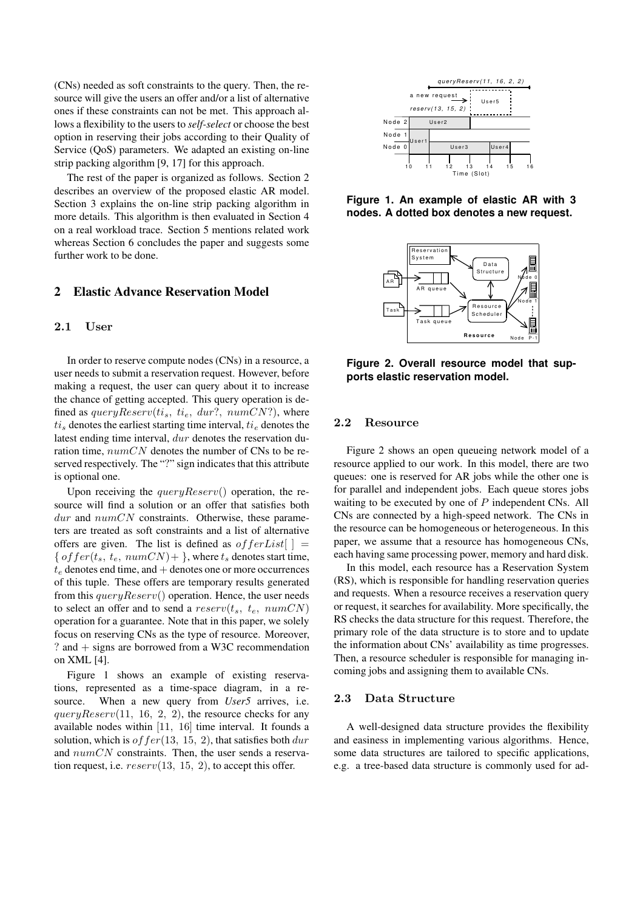(CNs) needed as soft constraints to the query. Then, the resource will give the users an offer and/or a list of alternative ones if these constraints can not be met. This approach allows a flexibility to the users to *self-select* or choose the best option in reserving their jobs according to their Quality of Service (QoS) parameters. We adapted an existing on-line strip packing algorithm [9, 17] for this approach.

The rest of the paper is organized as follows. Section 2 describes an overview of the proposed elastic AR model. Section 3 explains the on-line strip packing algorithm in more details. This algorithm is then evaluated in Section 4 on a real workload trace. Section 5 mentions related work whereas Section 6 concludes the paper and suggests some further work to be done.

# **2 Elastic Advance Reservation Model**

#### 2.1 User

In order to reserve compute nodes (CNs) in a resource, a user needs to submit a reservation request. However, before making a request, the user can query about it to increase the chance of getting accepted. This query operation is defined as  $queryReserv(t_i_s, t_i_e, dur?, numCN?)$ , where  $t_i$  denotes the earliest starting time interval,  $t_i$  denotes the latest ending time interval, dur denotes the reservation duration time,  $numCN$  denotes the number of CNs to be reserved respectively. The "?" sign indicates that this attribute is optional one.

Upon receiving the  $queryReserv()$  operation, the resource will find a solution or an offer that satisfies both  $dur$  and  $numCN$  constraints. Otherwise, these parameters are treated as soft constraints and a list of alternative offers are given. The list is defined as  $of ferList$ [ ] = {  $offer(t_s, t_e, numCN)$  + }, where  $t_s$  denotes start time,  $t_e$  denotes end time, and  $+$  denotes one or more occurrences of this tuple. These offers are temporary results generated from this  $queryReserv()$  operation. Hence, the user needs to select an offer and to send a  $reserv(t_s, t_e, numCN)$ operation for a guarantee. Note that in this paper, we solely focus on reserving CNs as the type of resource. Moreover, ? and + signs are borrowed from a W3C recommendation on XML [4].

Figure 1 shows an example of existing reservations, represented as a time-space diagram, in a resource. When a new query from *User5* arrives, i.e.  $queryReserv(11, 16, 2, 2)$ , the resource checks for any available nodes within [11, 16] time interval. It founds a solution, which is of  $fer(13, 15, 2)$ , that satisfies both  $dur$ and  $numCN$  constraints. Then, the user sends a reservation request, i.e.  $reserv(13, 15, 2)$ , to accept this offer.



**Figure 1. An example of elastic AR with 3 nodes. A dotted box denotes a new request.**



**Figure 2. Overall resource model that supports elastic reservation model.**

#### 2.2 Resource

Figure 2 shows an open queueing network model of a resource applied to our work. In this model, there are two queues: one is reserved for AR jobs while the other one is for parallel and independent jobs. Each queue stores jobs waiting to be executed by one of  $P$  independent CNs. All CNs are connected by a high-speed network. The CNs in the resource can be homogeneous or heterogeneous. In this paper, we assume that a resource has homogeneous CNs, each having same processing power, memory and hard disk.

In this model, each resource has a Reservation System (RS), which is responsible for handling reservation queries and requests. When a resource receives a reservation query or request, it searches for availability. More specifically, the RS checks the data structure for this request. Therefore, the primary role of the data structure is to store and to update the information about CNs' availability as time progresses. Then, a resource scheduler is responsible for managing incoming jobs and assigning them to available CNs.

#### 2.3 Data Structure

A well-designed data structure provides the flexibility and easiness in implementing various algorithms. Hence, some data structures are tailored to specific applications, e.g. a tree-based data structure is commonly used for ad-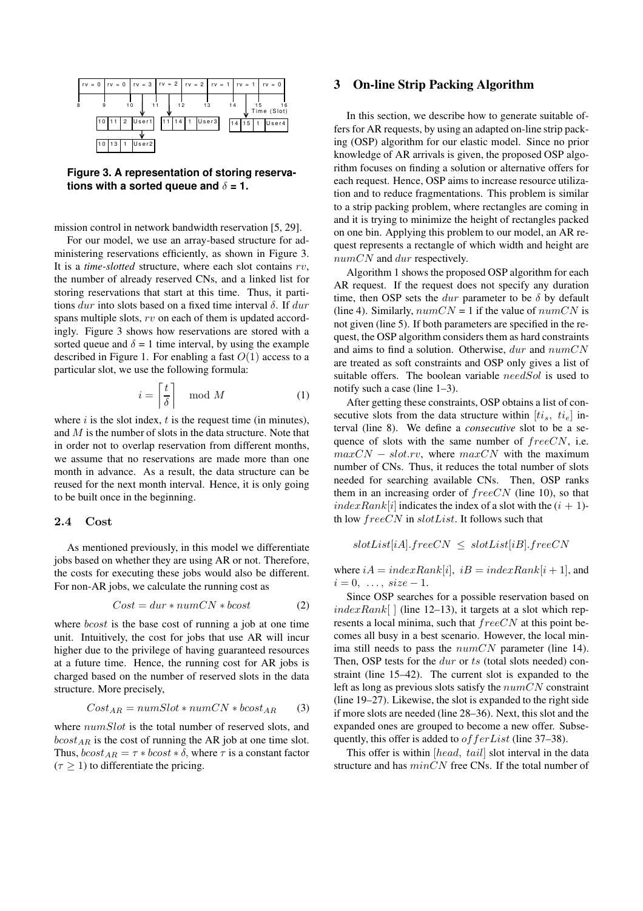

**Figure 3. A representation of storing reservations** with a sorted queue and  $\delta = 1$ .

mission control in network bandwidth reservation [5, 29].

For our model, we use an array-based structure for administering reservations efficiently, as shown in Figure 3. It is a *time-slotted* structure, where each slot contains rv, the number of already reserved CNs, and a linked list for storing reservations that start at this time. Thus, it partitions dur into slots based on a fixed time interval  $\delta$ . If dur spans multiple slots, rv on each of them is updated accordingly. Figure 3 shows how reservations are stored with a sorted queue and  $\delta = 1$  time interval, by using the example described in Figure 1. For enabling a fast  $O(1)$  access to a particular slot, we use the following formula:

$$
i = \left\lceil \frac{t}{\delta} \right\rceil \mod M \tag{1}
$$

where  $i$  is the slot index,  $t$  is the request time (in minutes), and M is the number of slots in the data structure. Note that in order not to overlap reservation from different months, we assume that no reservations are made more than one month in advance. As a result, the data structure can be reused for the next month interval. Hence, it is only going to be built once in the beginning.

#### 2.4 Cost

As mentioned previously, in this model we differentiate jobs based on whether they are using AR or not. Therefore, the costs for executing these jobs would also be different. For non-AR jobs, we calculate the running cost as

$$
Cost = dur * numCN * bcost
$$
 (2)

where *bcost* is the base cost of running a job at one time unit. Intuitively, the cost for jobs that use AR will incur higher due to the privilege of having guaranteed resources at a future time. Hence, the running cost for AR jobs is charged based on the number of reserved slots in the data structure. More precisely,

$$
Cost_{AR} = numSlot * numCN * bcost_{AR} \qquad (3)
$$

where  $numSlot$  is the total number of reserved slots, and  $bcost_{AR}$  is the cost of running the AR job at one time slot. Thus,  $bcost_{AR} = \tau * bcost * \delta$ , where  $\tau$  is a constant factor  $(\tau > 1)$  to differentiate the pricing.

#### **3 On-line Strip Packing Algorithm**

In this section, we describe how to generate suitable offers for AR requests, by using an adapted on-line strip packing (OSP) algorithm for our elastic model. Since no prior knowledge of AR arrivals is given, the proposed OSP algorithm focuses on finding a solution or alternative offers for each request. Hence, OSP aims to increase resource utilization and to reduce fragmentations. This problem is similar to a strip packing problem, where rectangles are coming in and it is trying to minimize the height of rectangles packed on one bin. Applying this problem to our model, an AR request represents a rectangle of which width and height are numCN and dur respectively.

Algorithm 1 shows the proposed OSP algorithm for each AR request. If the request does not specify any duration time, then OSP sets the *dur* parameter to be  $\delta$  by default (line 4). Similarly,  $numCN = 1$  if the value of  $numCN$  is not given (line 5). If both parameters are specified in the request, the OSP algorithm considers them as hard constraints and aims to find a solution. Otherwise,  $dur$  and  $numCN$ are treated as soft constraints and OSP only gives a list of suitable offers. The boolean variable needSol is used to notify such a case (line 1–3).

After getting these constraints, OSP obtains a list of consecutive slots from the data structure within  $[t_i, t_{i_e}]$  interval (line 8). We define a *consecutive* slot to be a sequence of slots with the same number of  $freeCN$ , i.e.  $maxCN - slot.rv$ , where  $maxCN$  with the maximum number of CNs. Thus, it reduces the total number of slots needed for searching available CNs. Then, OSP ranks them in an increasing order of  $freeCN$  (line 10), so that  $indexRank[i]$  indicates the index of a slot with the  $(i + 1)$ th low  $freeCN$  in  $slotList$ . It follows such that

$$
slotList[iA].freeCN \leq slotList[iB].freeCN
$$

where  $iA = indexRank[i], iB = indexRank[i+1],$  and  $i = 0, \ldots, size - 1.$ 

Since OSP searches for a possible reservation based on  $indexRank[ ]$  (line 12–13), it targets at a slot which represents a local minima, such that  $freeCN$  at this point becomes all busy in a best scenario. However, the local minima still needs to pass the  $numCN$  parameter (line 14). Then, OSP tests for the *dur* or ts (total slots needed) constraint (line 15–42). The current slot is expanded to the left as long as previous slots satisfy the  $numCN$  constraint (line 19–27). Likewise, the slot is expanded to the right side if more slots are needed (line 28–36). Next, this slot and the expanded ones are grouped to become a new offer. Subsequently, this offer is added to *of ferList* (line 37–38).

This offer is within [head, tail] slot interval in the data structure and has  $minCN$  free CNs. If the total number of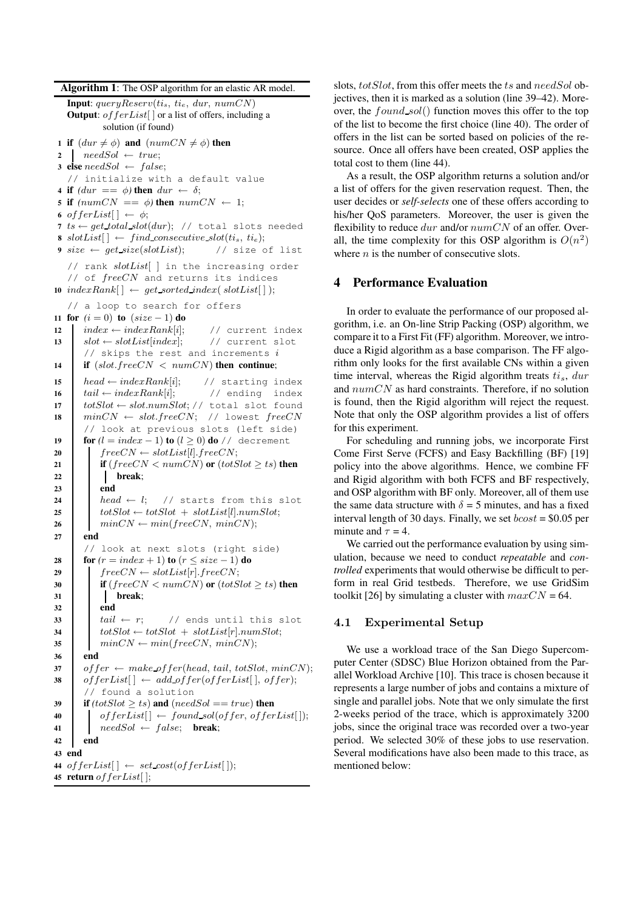**Algorithm 1**: The OSP algorithm for an elastic AR model.

```
Input: queryReserv(t_i_s, t_i_e, dur, numCN)Output: of ferList[ or a list of offers, including a
           solution (if found)
1 if (dur \neq \phi) and (numCN \neq \phi) then
2 needSol \leftarrow true;3 else needSol \leftarrow false;// initialize with a default value
4 if (dur == \phi) then dur \leftarrow \delta;
5 if (numCN == \phi) then numCN \leftarrow 1;
6 of ferList[\ \ \leftarrow \ \phi;7 ts \leftarrow get\_total\_slot(dw); // total slots needed
8 slotList[\ ] \leftarrow \ find\_consecutive\_slot(t_i, t_i);
9 size \leftarrow get size(slotList); // size of list
   // rank slotList[ ] in the increasing order
   // of freeCN and returns its indices
10 indexRank[] \leftarrow get sorted_index(slotList[]);// a loop to search for offers
11 for (i = 0) to (size - 1) do
12 index \leftarrow indexRank[i]; // current index
13 slot \leftarrow slotList/index; // current slot
      // skips the rest and increments i14 if (slot.freeCN < numCN) then continue;
15 head \leftarrow indexRank[i]; // starting index
16 tail \leftarrow indexRank[i]; // ending index
17 totSlot ← slot.numSlot; // total slot found18 minCN \leftarrow slot-freeCN; // lowest freeCN// look at previous slots (left side)
19 for (l = index - 1) to (l \ge 0) do // decrement
20 freeCN \leftarrow slotList[l].freeCN;
21 if (freeCN < numCN) or (totSlot \geq ts) then
22 break;
23 end
24 head \leftarrow l; // starts from this slot
25 totSlot \leftarrow totSlot + slotList[l].numSlot;26 minCN \leftarrow min(freeCN, minCN);27 end
      // look at next slots (right side)
28 for (r = index + 1) to (r \leq size - 1) do
29 freeCN \leftarrow slotList[r].freeCN;
30 if (freeCN < numCN) or (totSlot \ge ts) then
31 break;
32 end
33 tail \leftarrow r; // ends until this slot
34 \downarrow \text{tot}Slot \leftarrow \text{tot}Slot + slotList[r].numSlot;
35 minCN \leftarrow min(freeCN, minCN);36 end
37 of fer \leftarrow make\_offer(head, tail, totSlot, minCN);38 of ferList[ \ ] \leftarrow add\_offer(offerList[ \ ], offer);// found a solution
39 if (totSlot \ge ts) and (needSol == true) then
40 \qquad \qquad of ferList[\ ] \leftarrow \text{found } sol(offer, \text{offerList}[]);41 \not\phantom{a} \qquad \qquad \text{needSol} \leftarrow \text{false}; \quad \text{break};42 end
43 end
44 of ferList[ \rightarrow set\_cost(offerList[ ]):45 return of ferList[ ];
```
slots, totSlot, from this offer meets the ts and needSol objectives, then it is marked as a solution (line 39–42). Moreover, the found sol() function moves this offer to the top of the list to become the first choice (line 40). The order of offers in the list can be sorted based on policies of the resource. Once all offers have been created, OSP applies the total cost to them (line 44).

As a result, the OSP algorithm returns a solution and/or a list of offers for the given reservation request. Then, the user decides or *self-selects* one of these offers according to his/her QoS parameters. Moreover, the user is given the flexibility to reduce  $dur$  and/or  $numCN$  of an offer. Overall, the time complexity for this OSP algorithm is  $O(n^2)$ where  $n$  is the number of consecutive slots.

## **4 Performance Evaluation**

In order to evaluate the performance of our proposed algorithm, i.e. an On-line Strip Packing (OSP) algorithm, we compare it to a First Fit (FF) algorithm. Moreover, we introduce a Rigid algorithm as a base comparison. The FF algorithm only looks for the first available CNs within a given time interval, whereas the Rigid algorithm treats  $t_i$ , dur and  $numCN$  as hard constraints. Therefore, if no solution is found, then the Rigid algorithm will reject the request. Note that only the OSP algorithm provides a list of offers for this experiment.

For scheduling and running jobs, we incorporate First Come First Serve (FCFS) and Easy Backfilling (BF) [19] policy into the above algorithms. Hence, we combine FF and Rigid algorithm with both FCFS and BF respectively, and OSP algorithm with BF only. Moreover, all of them use the same data structure with  $\delta = 5$  minutes, and has a fixed interval length of 30 days. Finally, we set  $boost = $0.05$  per minute and  $\tau = 4$ .

We carried out the performance evaluation by using simulation, because we need to conduct *repeatable* and *controlled* experiments that would otherwise be difficult to perform in real Grid testbeds. Therefore, we use GridSim toolkit [26] by simulating a cluster with  $maxCN = 64$ .

## 4.1 Experimental Setup

We use a workload trace of the San Diego Supercomputer Center (SDSC) Blue Horizon obtained from the Parallel Workload Archive [10]. This trace is chosen because it represents a large number of jobs and contains a mixture of single and parallel jobs. Note that we only simulate the first 2-weeks period of the trace, which is approximately 3200 jobs, since the original trace was recorded over a two-year period. We selected 30% of these jobs to use reservation. Several modifications have also been made to this trace, as mentioned below: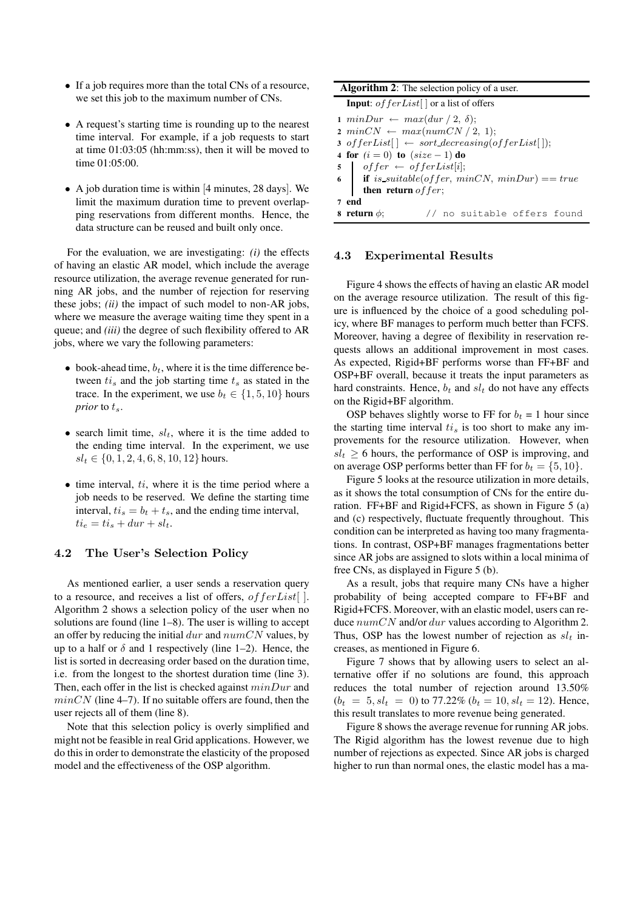- If a job requires more than the total CNs of a resource, we set this job to the maximum number of CNs.
- A request's starting time is rounding up to the nearest time interval. For example, if a job requests to start at time 01:03:05 (hh:mm:ss), then it will be moved to time 01:05:00.
- A job duration time is within [4 minutes, 28 days]. We limit the maximum duration time to prevent overlapping reservations from different months. Hence, the data structure can be reused and built only once.

For the evaluation, we are investigating: *(i)* the effects of having an elastic AR model, which include the average resource utilization, the average revenue generated for running AR jobs, and the number of rejection for reserving these jobs; *(ii)* the impact of such model to non-AR jobs, where we measure the average waiting time they spent in a queue; and *(iii)* the degree of such flexibility offered to AR jobs, where we vary the following parameters:

- book-ahead time,  $b_t$ , where it is the time difference between  $t_i$  and the job starting time  $t_s$  as stated in the trace. In the experiment, we use  $b_t \in \{1, 5, 10\}$  hours *prior* to  $t_s$ .
- search limit time,  $sl_t$ , where it is the time added to the ending time interval. In the experiment, we use  $sl_t \in \{0, 1, 2, 4, 6, 8, 10, 12\}$  hours.
- $\bullet$  time interval,  $ti$ , where it is the time period where a job needs to be reserved. We define the starting time interval,  $t_i = b_t + t_s$ , and the ending time interval,  $ti_e = ti_s + dur + sl_t.$

## 4.2 The User's Selection Policy

As mentioned earlier, a user sends a reservation query to a resource, and receives a list of offers,  $offerList$ []. Algorithm 2 shows a selection policy of the user when no solutions are found (line 1–8). The user is willing to accept an offer by reducing the initial  $dur$  and  $numCN$  values, by up to a half or  $\delta$  and 1 respectively (line 1–2). Hence, the list is sorted in decreasing order based on the duration time, i.e. from the longest to the shortest duration time (line 3). Then, each offer in the list is checked against  $minDur$  and  $minCN$  (line 4–7). If no suitable offers are found, then the user rejects all of them (line 8).

Note that this selection policy is overly simplified and might not be feasible in real Grid applications. However, we do this in order to demonstrate the elasticity of the proposed model and the effectiveness of the OSP algorithm.

| <b>Algorithm 2:</b> The selection policy of a user.               |                                                                                                                                                                                                |  |  |                             |  |  |
|-------------------------------------------------------------------|------------------------------------------------------------------------------------------------------------------------------------------------------------------------------------------------|--|--|-----------------------------|--|--|
| <b>Input:</b> of ferList $\vert \cdot \vert$ or a list of offers  |                                                                                                                                                                                                |  |  |                             |  |  |
|                                                                   | $1 \text{ minDur} \leftarrow \text{ max}(dur / 2, \delta);$                                                                                                                                    |  |  |                             |  |  |
| $2 \text{ minCN} \leftarrow \text{max}(\text{numCN}/2, 1);$       |                                                                                                                                                                                                |  |  |                             |  |  |
| 3 of ferList $[ \ ] \leftarrow sort\_decreasing(offerList[ \ ]);$ |                                                                                                                                                                                                |  |  |                             |  |  |
| 4 for $(i = 0)$ to $(size - 1)$ do                                |                                                                                                                                                                                                |  |  |                             |  |  |
|                                                                   | $\begin{tabular}{ll} $\textbf{5}$ & $offset = \textit{of} \textit{ferList}[i];$ \\ $\textbf{6}$ & $\textbf{if} $ is\_suitable (offer, \textit{minCN}, \textit{minDur}) == true$ \end{tabular}$ |  |  |                             |  |  |
|                                                                   |                                                                                                                                                                                                |  |  |                             |  |  |
| then return $offer$ ;                                             |                                                                                                                                                                                                |  |  |                             |  |  |
| 7 end                                                             |                                                                                                                                                                                                |  |  |                             |  |  |
| 8 return $\phi$ :                                                 |                                                                                                                                                                                                |  |  | // no suitable offers found |  |  |

#### 4.3 Experimental Results

Figure 4 shows the effects of having an elastic AR model on the average resource utilization. The result of this figure is influenced by the choice of a good scheduling policy, where BF manages to perform much better than FCFS. Moreover, having a degree of flexibility in reservation requests allows an additional improvement in most cases. As expected, Rigid+BF performs worse than FF+BF and OSP+BF overall, because it treats the input parameters as hard constraints. Hence,  $b_t$  and  $sl_t$  do not have any effects on the Rigid+BF algorithm.

OSP behaves slightly worse to FF for  $b_t = 1$  hour since the starting time interval  $t_i$  is too short to make any improvements for the resource utilization. However, when  $sl_t \geq 6$  hours, the performance of OSP is improving, and on average OSP performs better than FF for  $b_t = \{5, 10\}$ .

Figure 5 looks at the resource utilization in more details, as it shows the total consumption of CNs for the entire duration. FF+BF and Rigid+FCFS, as shown in Figure 5 (a) and (c) respectively, fluctuate frequently throughout. This condition can be interpreted as having too many fragmentations. In contrast, OSP+BF manages fragmentations better since AR jobs are assigned to slots within a local minima of free CNs, as displayed in Figure 5 (b).

As a result, jobs that require many CNs have a higher probability of being accepted compare to FF+BF and Rigid+FCFS. Moreover, with an elastic model, users can reduce  $numCN$  and/or dur values according to Algorithm 2. Thus, OSP has the lowest number of rejection as  $sl_t$  increases, as mentioned in Figure 6.

Figure 7 shows that by allowing users to select an alternative offer if no solutions are found, this approach reduces the total number of rejection around 13.50%  $(b_t = 5, sl_t = 0)$  to 77.22%  $(b_t = 10, sl_t = 12)$ . Hence, this result translates to more revenue being generated.

Figure 8 shows the average revenue for running AR jobs. The Rigid algorithm has the lowest revenue due to high number of rejections as expected. Since AR jobs is charged higher to run than normal ones, the elastic model has a ma-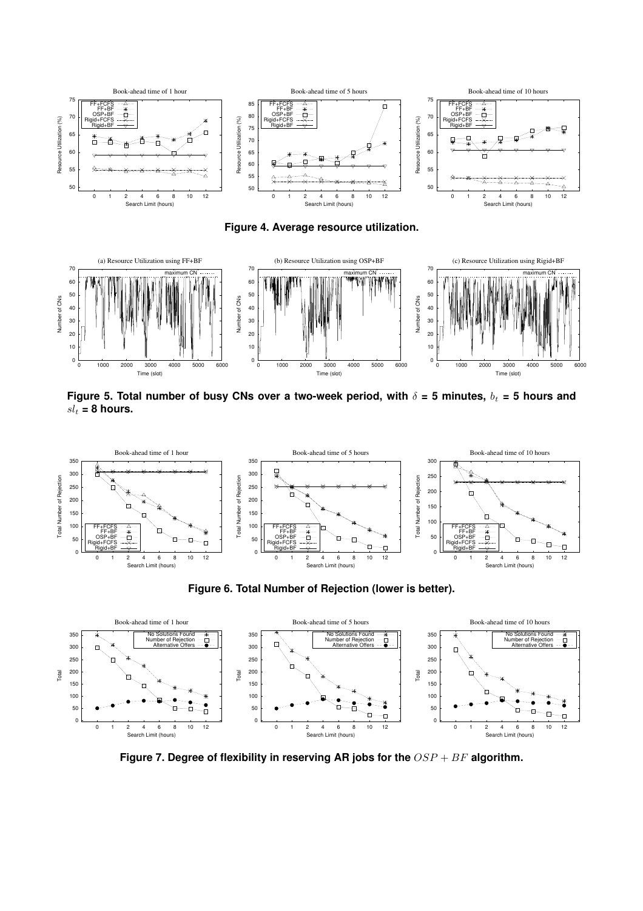

**Figure 4. Average resource utilization.**



Figure 5. Total number of busy CNs over a two-week period, with  $\delta = 5$  minutes,  $b_t = 5$  hours and  $sl_t = 8$  hours.



**Figure 6. Total Number of Rejection (lower is better).**



**Figure 7. Degree of flexibility in reserving AR jobs for the** OSP + BF **algorithm.**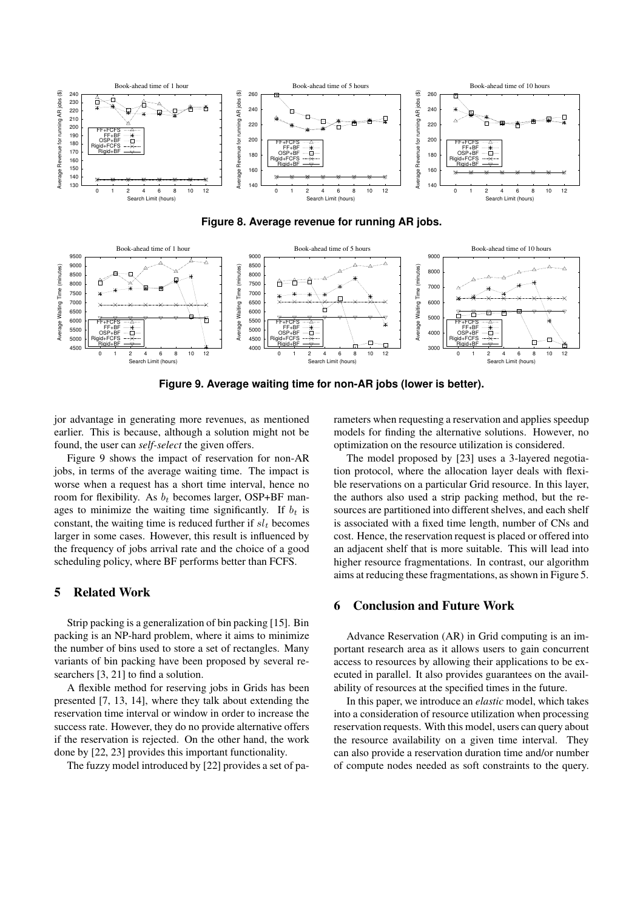





**Figure 9. Average waiting time for non-AR jobs (lower is better).**

jor advantage in generating more revenues, as mentioned earlier. This is because, although a solution might not be found, the user can *self-select* the given offers.

Figure 9 shows the impact of reservation for non-AR jobs, in terms of the average waiting time. The impact is worse when a request has a short time interval, hence no room for flexibility. As  $b_t$  becomes larger, OSP+BF manages to minimize the waiting time significantly. If  $b_t$  is constant, the waiting time is reduced further if  $sl<sub>t</sub>$  becomes larger in some cases. However, this result is influenced by the frequency of jobs arrival rate and the choice of a good scheduling policy, where BF performs better than FCFS.

# **5 Related Work**

Strip packing is a generalization of bin packing [15]. Bin packing is an NP-hard problem, where it aims to minimize the number of bins used to store a set of rectangles. Many variants of bin packing have been proposed by several researchers [3, 21] to find a solution.

A flexible method for reserving jobs in Grids has been presented [7, 13, 14], where they talk about extending the reservation time interval or window in order to increase the success rate. However, they do no provide alternative offers if the reservation is rejected. On the other hand, the work done by [22, 23] provides this important functionality.

The fuzzy model introduced by [22] provides a set of pa-

rameters when requesting a reservation and applies speedup models for finding the alternative solutions. However, no optimization on the resource utilization is considered.

The model proposed by [23] uses a 3-layered negotiation protocol, where the allocation layer deals with flexible reservations on a particular Grid resource. In this layer, the authors also used a strip packing method, but the resources are partitioned into different shelves, and each shelf is associated with a fixed time length, number of CNs and cost. Hence, the reservation request is placed or offered into an adjacent shelf that is more suitable. This will lead into higher resource fragmentations. In contrast, our algorithm aims at reducing these fragmentations, as shown in Figure 5.

## **6 Conclusion and Future Work**

Advance Reservation (AR) in Grid computing is an important research area as it allows users to gain concurrent access to resources by allowing their applications to be executed in parallel. It also provides guarantees on the availability of resources at the specified times in the future.

In this paper, we introduce an *elastic* model, which takes into a consideration of resource utilization when processing reservation requests. With this model, users can query about the resource availability on a given time interval. They can also provide a reservation duration time and/or number of compute nodes needed as soft constraints to the query.